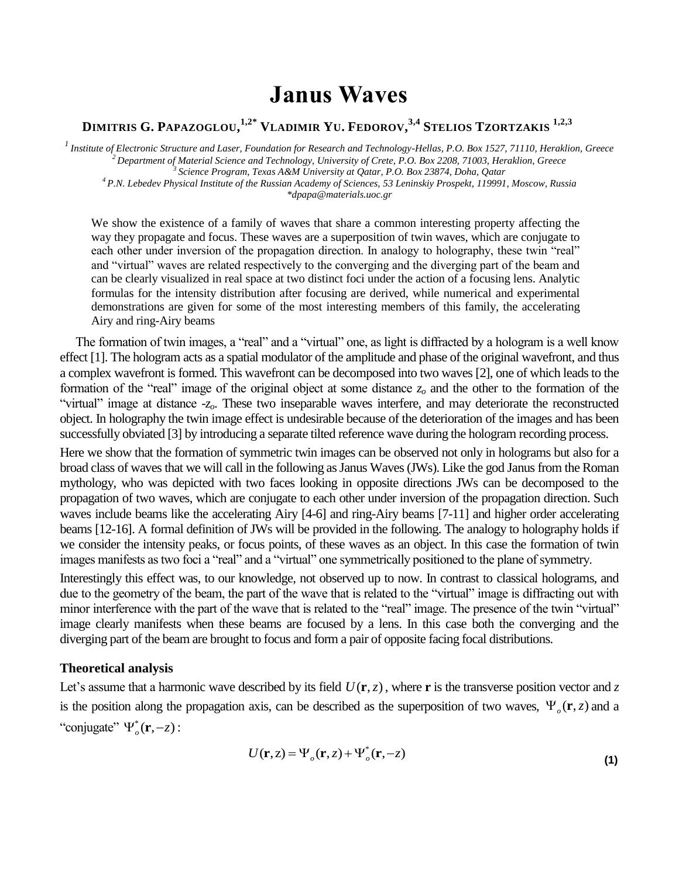# **Janus Waves**

# DIMITRIS G. PAPAZOGLOU,<sup>1,2\*</sup> VLADIMIR YU. FEDOROV,<sup>3,4</sup> STELIOS TZORTZAKIS <sup>1,2,3</sup>

*<sup>1</sup>Institute of Electronic Structure and Laser, Foundation for Research and Technology-Hellas, P.O. Box 1527, 71110, Heraklion, Greece <sup>2</sup>Department of Material Science and Technology, University of Crete, P.O. Box 2208, 71003, Heraklion, Greece <sup>3</sup>Science Program, Texas A&M University at Qatar, P.O. Box 23874, Doha, Qatar*

*<sup>4</sup>P.N. Lebedev Physical Institute of the Russian Academy of Sciences, 53 Leninskiy Prospekt, 119991, Moscow, Russia \*dpapa@materials.uoc.gr*

We show the existence of a family of waves that share a common interesting property affecting the way they propagate and focus. These waves are a superposition of twin waves, which are conjugate to each other under inversion of the propagation direction. In analogy to holography, these twin "real" and "virtual" waves are related respectively to the converging and the diverging part of the beam and can be clearly visualized in real space at two distinct foci under the action of a focusing lens. Analytic formulas for the intensity distribution after focusing are derived, while numerical and experimental demonstrations are given for some of the most interesting members of this family, the accelerating Airy and ring-Airy beams

The formation of twin images, a "real" and a "virtual" one, as light is diffracted by a hologram is a well know effect [1]. The hologram acts as a spatial modulator of the amplitude and phase of the original wavefront, and thus a complex wavefront is formed. This wavefront can be decomposed into two waves [2], one of which leads to the formation of the "real" image of the original object at some distance *z<sup>o</sup>* and the other to the formation of the "virtual" image at distance -*zo*. These two inseparable waves interfere, and may deteriorate the reconstructed object. In holography the twin image effect is undesirable because of the deterioration of the images and has been successfully obviated [3] by introducing a separate tilted reference wave during the hologram recording process.

Here we show that the formation of symmetric twin images can be observed not only in holograms but also for a broad class of waves that we will call in the following as Janus Waves (JWs). Like the god Janus from the Roman mythology, who was depicted with two faces looking in opposite directions JWs can be decomposed to the propagation of two waves, which are conjugate to each other under inversion of the propagation direction. Such waves include beams like the accelerating Airy [4-6] and ring-Airy beams [7-11] and higher order accelerating beams [12-16]. A formal definition of JWs will be provided in the following. The analogy to holography holds if we consider the intensity peaks, or focus points, of these waves as an object. In this case the formation of twin images manifests as two foci a "real" and a "virtual" one symmetrically positioned to the plane of symmetry.

Interestingly this effect was, to our knowledge, not observed up to now. In contrast to classical holograms, and due to the geometry of the beam, the part of the wave that is related to the "virtual" image is diffracting out with minor interference with the part of the wave that is related to the "real" image. The presence of the twin "virtual" image clearly manifests when these beams are focused by a lens. In this case both the converging and the diverging part of the beam are brought to focus and form a pair of opposite facing focal distributions.

## **Theoretical analysis**

Let's assume that a harmonic wave described by its field  $U(\mathbf{r}, z)$ , where **r** is the transverse position vector and z is the position along the propagation axis, can be described as the superposition of two waves,  $\Psi_o(\mathbf{r}, z)$  and a "conjugate"  $\Psi_{o}^{*}(\mathbf{r},-z)$ :

<span id="page-0-0"></span>
$$
U(\mathbf{r}, z) = \Psi_o(\mathbf{r}, z) + \Psi_o^*(\mathbf{r}, -z)
$$
\n(1)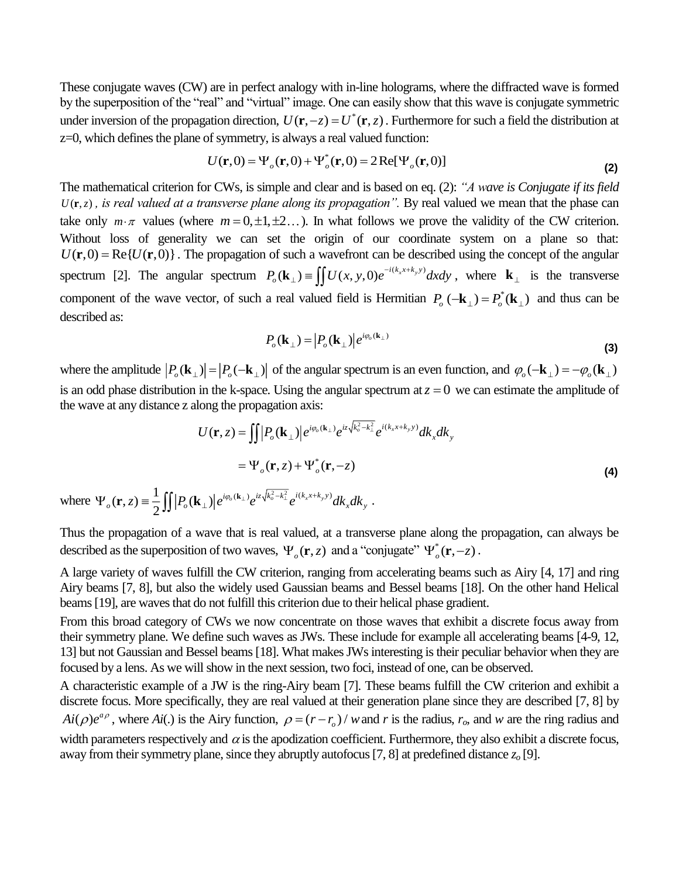These conjugate waves (CW) are in perfect analogy with in-line holograms, where the diffracted wave is formed by the superposition of the "real" and "virtual" image. One can easily show that this wave is conjugate symmetric under inversion of the propagation direction,  $U(\mathbf{r}, -z) = U^*(\mathbf{r}, z)$ . Furthermore for such a field the distribution at z=0, which defines the plane of symmetry, is always a real valued function:

$$
U(\mathbf{r},0) = \Psi_o(\mathbf{r},0) + \Psi_o^*(\mathbf{r},0) = 2\operatorname{Re}[\Psi_o(\mathbf{r},0)]
$$
\n(2)

The mathematical criterion for CWs, is simple and clear and is based on eq. [\(2\)](#page-1-0): *"A wave is Conjugate if its field*   $U(r, z)$ , *is real valued at a transverse plane along its propagation*". By real valued we mean that the phase can take only  $m \cdot \pi$  values (where  $m = 0, \pm 1, \pm 2...$ ). In what follows we prove the validity of the CW criterion. Without loss of generality we can set the origin of our coordinate system on a plane so that:  $U(\mathbf{r},0) = \text{Re}\{U(\mathbf{r},0)\}\.$  The propagation of such a wavefront can be described using the concept of the angular spectrum [2]. The angular spectrum  $P_o(\mathbf{k}_{\perp}) = \iint U(x, y, 0) e^{-i(k_x x + k_y y)} dx dy$ , where  $\mathbf{k}_{\perp}$  is the transverse component of the wave vector, of such a real valued field is Hermitian  $P_o(-\mathbf{k}_{\perp}) = P_o^*(\mathbf{k}_{\perp})$  and thus can be described as:

<span id="page-1-0"></span>
$$
P_o(\mathbf{k}_{\perp}) = |P_o(\mathbf{k}_{\perp})|e^{i\varphi_o(\mathbf{k}_{\perp})}
$$
\n(3)

where the amplitude  $|P_{o}(\mathbf{k}_{\perp})| = |P_{o}(-\mathbf{k}_{\perp})|$  of the angular spectrum is an even function, and  $\varphi_{o}(-\mathbf{k}_{\perp}) = -\varphi_{o}(\mathbf{k}_{\perp})$ is an odd phase distribution in the k-space. Using the angular spectrum at  $z = 0$  we can estimate the amplitude of the wave at any distance z along the propagation axis:

$$
U(\mathbf{r}, z) = \iint P_o(\mathbf{k}_{\perp}) \left| e^{i\varphi_o(\mathbf{k}_{\perp})} e^{iz \sqrt{k_o^2 - k_{\perp}^2}} e^{i(k_x x + k_y y)} dk_x dk_y \right|
$$
  

$$
= \Psi_o(\mathbf{r}, z) + \Psi_o^*(\mathbf{r}, -z)
$$
  

$$
(\mathbf{r}, z) = \frac{1}{2} \iint |P_o(\mathbf{k}_{\perp})| e^{i\varphi_o(\mathbf{k}_{\perp})} e^{iz \sqrt{k_o^2 - k_{\perp}^2}} e^{i(k_x x + k_y y)} dk_x dk_y.
$$
 (4)

where  $\Psi_{\alpha}(\mathbf{r})$ . 2  $\alpha$   $\left| \right| \left| \right| \left| \right| \left| \right| \left| \right| \left| \right| \left| \right|$  $\Psi_{\rho}({\bf r},z) = \frac{1}{2} \iint \left| P_{\rho}({\bf k}_{\perp}) \right| e^{i \phi_{\rho}({\bf k}_{\perp})} e^{iz \sqrt{k_{\rho}^2 - k_{\perp}^2}} e^{i (k_x x + k_y y)} dk_x dk$  $\mathbf{r}, z) \equiv \frac{1}{2} || |P_o(\mathbf{k}_+)| e^{i\varphi_o(\mathbf{k}_\perp)} e^{iz\sqrt{k_o^2-k_\perp^2}} e^{i(k_x x + k_y y)} dk_x dk_y.$ 

Thus the propagation of a wave that is real valued, at a transverse plane along the propagation, can always be described as the superposition of two waves,  $\Psi_o(\mathbf{r}, z)$  and a "conjugate"  $\Psi_o^*(\mathbf{r}, -z)$ .

A large variety of waves fulfill the CW criterion, ranging from accelerating beams such as Airy [4, 17] and ring Airy beams [7, 8], but also the widely used Gaussian beams and Bessel beams [18]. On the other hand Helical beams [19], are waves that do not fulfill this criterion due to their helical phase gradient.

From this broad category of CWs we now concentrate on those waves that exhibit a discrete focus away from their symmetry plane. We define such waves as JWs. These include for example all accelerating beams [4-9, 12, 13] but not Gaussian and Bessel beams [18]. What makes JWs interesting is their peculiar behavior when they are focused by a lens. As we will show in the next session, two foci, instead of one, can be observed.

A characteristic example of a JW is the ring-Airy beam [7]. These beams fulfill the CW criterion and exhibit a discrete focus. More specifically, they are real valued at their generation plane since they are described [7, 8] by  $Ai(\rho)e^{a\rho}$ , where  $Ai(.)$  is the Airy function,  $\rho = (r - r_o)/w$  and r is the radius,  $r_o$ , and w are the ring radius and width parameters respectively and  $\alpha$  is the apodization coefficient. Furthermore, they also exhibit a discrete focus, away from their symmetry plane, since they abruptly autofocus [7, 8] at predefined distance *z<sup>o</sup>* [9].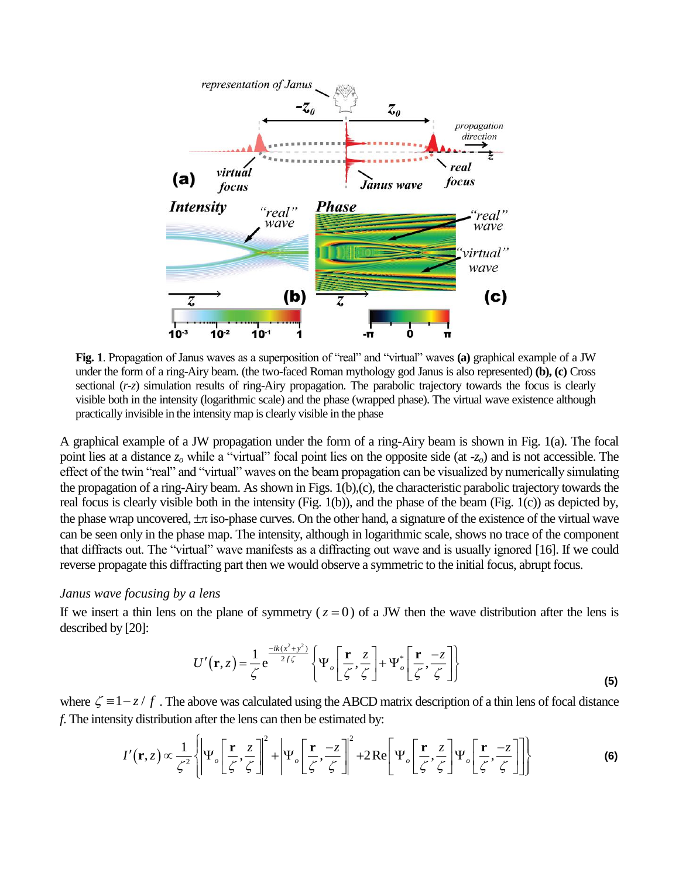

**Fig. 1**. Propagation of Janus waves as a superposition of "real" and "virtual" waves **(a)** graphical example of a JW under the form of a ring-Airy beam. (the two-faced Roman mythology god Janus is also represented) **(b), (c)** Cross sectional (*r-z*) simulation results of ring-Airy propagation. The parabolic trajectory towards the focus is clearly visible both in the intensity (logarithmic scale) and the phase (wrapped phase). The virtual wave existence although practically invisible in the intensity map is clearly visible in the phase

A graphical example of a JW propagation under the form of a ring-Airy beam is shown in Fig. 1(a). The focal point lies at a distance *z<sup>o</sup>* while a "virtual" focal point lies on the opposite side (at -*zo*) and is not accessible. The effect of the twin "real" and "virtual" waves on the beam propagation can be visualized by numerically simulating the propagation of a ring-Airy beam. As shown in Figs. 1(b),(c), the characteristic parabolic trajectory towards the real focus is clearly visible both in the intensity (Fig. 1(b)), and the phase of the beam (Fig. 1(c)) as depicted by, the phase wrap uncovered,  $\pm \pi$  iso-phase curves. On the other hand, a signature of the existence of the virtual wave can be seen only in the phase map. The intensity, although in logarithmic scale, shows no trace of the component that diffracts out. The "virtual" wave manifests as a diffracting out wave and is usually ignored [16]. If we could reverse propagate this diffracting part then we would observe a symmetric to the initial focus, abrupt focus.

#### *Janus wave focusing by a lens*

If we insert a thin lens on the plane of symmetry  $(z = 0)$  of a JW then the wave distribution after the lens is described by [20]:

<span id="page-2-1"></span><span id="page-2-0"></span>
$$
U'(\mathbf{r}, z) = \frac{1}{\zeta} e^{\frac{-ik(x^2 + y^2)}{2f\zeta}} \left\{ \Psi_o \left[ \frac{\mathbf{r}}{\zeta}, \frac{z}{\zeta} \right] + \Psi_o^* \left[ \frac{\mathbf{r}}{\zeta}, \frac{-z}{\zeta} \right] \right\}
$$
(5)

where  $\zeta = 1 - z / f$ . The above was calculated using the ABCD matrix description of a thin lens of focal distance *f*. The intensity distribution after the lens can then be estimated by:

$$
I'(\mathbf{r},z) \propto \frac{1}{\zeta^2} \left\{ \left| \Psi_o \left[ \frac{\mathbf{r}}{\zeta}, \frac{z}{\zeta} \right] \right|^2 + \left| \Psi_o \left[ \frac{\mathbf{r}}{\zeta}, \frac{-z}{\zeta} \right] \right|^2 + 2 \operatorname{Re} \left[ \Psi_o \left[ \frac{\mathbf{r}}{\zeta}, \frac{z}{\zeta} \right] \Psi_o \left[ \frac{\mathbf{r}}{\zeta}, \frac{-z}{\zeta} \right] \right] \right\}
$$
(6)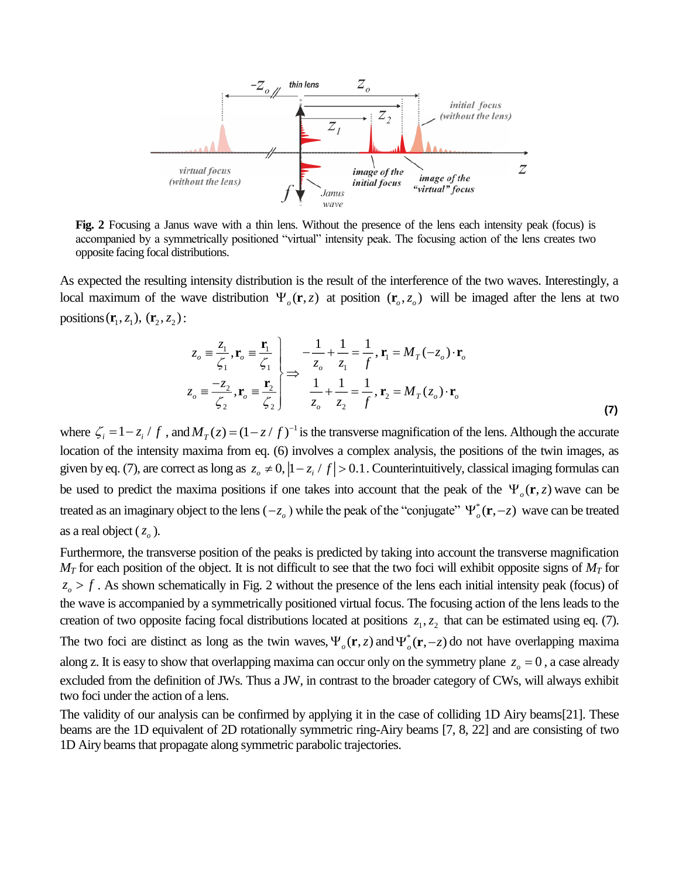

**Fig. 2** Focusing a Janus wave with a thin lens. Without the presence of the lens each intensity peak (focus) is accompanied by a symmetrically positioned "virtual" intensity peak. The focusing action of the lens creates two opposite facing focal distributions.

As expected the resulting intensity distribution is the result of the interference of the two waves. Interestingly, a local maximum of the wave distribution  $\Psi_o(\mathbf{r}, z)$  at position  $(\mathbf{r}_o, z_o)$  will be imaged after the lens at two positions  $(\mathbf{r}_1, z_1)$ ,  $(\mathbf{r}_2, z_2)$ :

<span id="page-3-0"></span>
$$
z_o \equiv \frac{z_1}{\zeta_1}, \mathbf{r}_o \equiv \frac{\mathbf{r}_1}{\zeta_1} \begin{cases} -\frac{1}{z_o} + \frac{1}{z_1} = \frac{1}{f}, \mathbf{r}_1 = M_T(-z_o) \cdot \mathbf{r}_o \\ \Rightarrow \frac{-z_2}{\zeta_2}, \mathbf{r}_o \equiv \frac{\mathbf{r}_2}{\zeta_2} \end{cases} \Rightarrow \frac{1}{z_o} + \frac{1}{z_2} = \frac{1}{f}, \mathbf{r}_2 = M_T(z_o) \cdot \mathbf{r}_o
$$
 (7)

where  $\zeta_i = 1 - z_i / f$ , and  $M_T(z) = (1 - z / f)^{-1}$  is the transverse magnification of the lens. Although the accurate location of the intensity maxima from eq. [\(6\)](#page-2-0) involves a complex analysis, the positions of the twin images, as given by eq. [\(7\)](#page-3-0), are correct as long as  $z_o \neq 0$ ,  $|1-z_i / f| > 0.1$ . Counterintuitively, classical imaging formulas can be used to predict the maxima positions if one takes into account that the peak of the  $\Psi_o(\mathbf{r}, z)$  wave can be treated as an imaginary object to the lens  $(-z_o)$  while the peak of the "conjugate"  $\Psi_o^*(\mathbf{r}, -z)$  wave can be treated as a real object  $(z_0)$ .

Furthermore, the transverse position of the peaks is predicted by taking into account the transverse magnification *M<sup>T</sup>* for each position of the object. It is not difficult to see that the two foci will exhibit opposite signs of *M<sup>T</sup>* for  $z_{o}$  > f. As shown schematically in Fig. 2 without the presence of the lens each initial intensity peak (focus) of the wave is accompanied by a symmetrically positioned virtual focus. The focusing action of the lens leads to the creation of two opposite facing focal distributions located at positions  $z_1, z_2$  that can be estimated using eq. [\(7\)](#page-3-0). The two foci are distinct as long as the twin waves,  $\Psi_o(\mathbf{r}, z)$  and  $\Psi_o^*(\mathbf{r}, -z)$  do not have overlapping maxima along z. It is easy to show that overlapping maxima can occur only on the symmetry plane  $z_0 = 0$ , a case already excluded from the definition of JWs. Thus a JW, in contrast to the broader category of CWs, will always exhibit two foci under the action of a lens.

The validity of our analysis can be confirmed by applying it in the case of colliding 1D Airy beams[21]. These beams are the 1D equivalent of 2D rotationally symmetric ring-Airy beams [7, 8, 22] and are consisting of two 1D Airy beams that propagate along symmetric parabolic trajectories.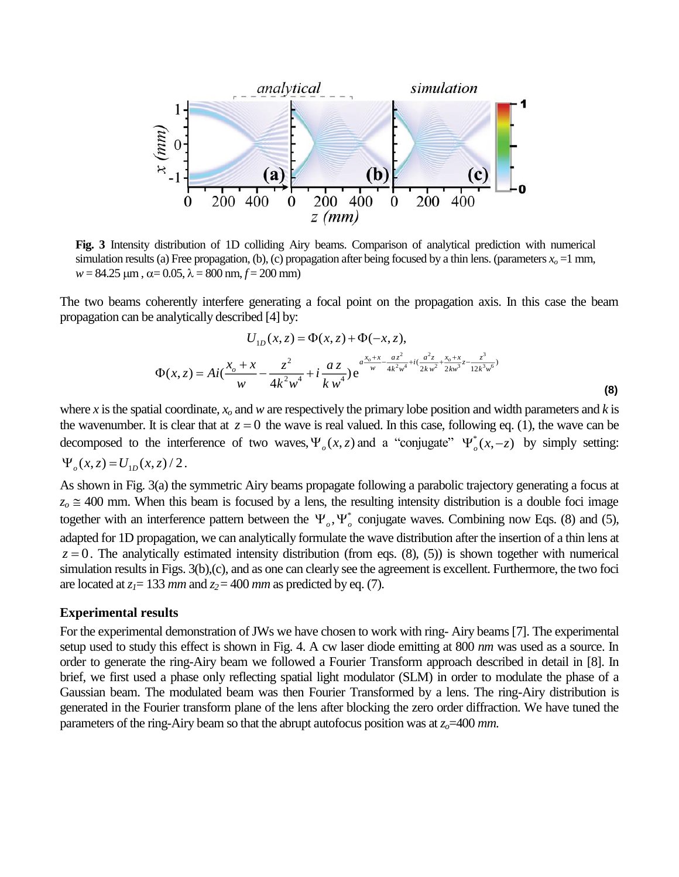

**Fig. 3** Intensity distribution of 1D colliding Airy beams. Comparison of analytical prediction with numerical simulation results (a) Free propagation, (b), (c) propagation after being focused by a thin lens. (parameters  $x<sub>o</sub> = 1$  mm,  $w = 84.25 \text{ }\mu\text{m}, \alpha = 0.05, \lambda = 800 \text{ nm}, f = 200 \text{ mm}$ 

The two beams coherently interfere generating a focal point on the propagation axis. In this case the beam propagation can be analytically described [4] by:

<span id="page-4-0"></span>
$$
U_{1D}(x, z) = \Phi(x, z) + \Phi(-x, z),
$$
  

$$
\Phi(x, z) = Ai(\frac{x_o + x}{w} - \frac{z^2}{4k^2w^4} + i\frac{az}{kw^4})e^{\frac{a^2b^2 + x_o^2}{w} - \frac{az^2}{4k^2w^4} + i(\frac{a^2z}{2kw^2} + \frac{x_o + x}{2kw^3}z - \frac{z^3}{12k^3w^6})}
$$
\n(8)

where *x* is the spatial coordinate,  $x<sub>o</sub>$  and *w* are respectively the primary lobe position and width parameters and *k* is the wavenumber. It is clear that at  $z = 0$  the wave is real valued. In this case, following eq. [\(1\)](#page-0-0), the wave can be decomposed to the interference of two waves,  $\Psi_o(x, z)$  and a "conjugate"  $\Psi_o^*(x, -z)$  by simply setting:  $\Psi_{\rho}(x, z) = U_{1p}(x, z)/2$ .

As shown in Fig. 3(a) the symmetric Airy beams propagate following a parabolic trajectory generating a focus at  $z<sub>o</sub> \approx 400$  mm. When this beam is focused by a lens, the resulting intensity distribution is a double foci image together with an interference pattern between the  $\Psi_{\rho}$ ,  $\Psi_{\rho}^{*}$  conjugate waves. Combining now Eqs. [\(8\)](#page-4-0) and [\(5\)](#page-2-1), adapted for 1D propagation, we can analytically formulate the wave distribution after the insertion of a thin lens at  $z = 0$ . The analytically estimated intensity distribution (from eqs. [\(8\)](#page-4-0), [\(5\)](#page-2-1)) is shown together with numerical simulation results in Figs. 3(b),(c), and as one can clearly see the agreement is excellent. Furthermore, the two foci are located at  $z_1 = 133$  *mm* and  $z_2 = 400$  *mm* as predicted by eq. [\(7\)](#page-3-0).

#### **Experimental results**

For the experimental demonstration of JWs we have chosen to work with ring- Airy beams [7]. The experimental setup used to study this effect is shown in Fig. 4. A cw laser diode emitting at 800 *nm* was used as a source. In order to generate the ring-Airy beam we followed a Fourier Transform approach described in detail in [8]. In brief, we first used a phase only reflecting spatial light modulator (SLM) in order to modulate the phase of a Gaussian beam. The modulated beam was then Fourier Transformed by a lens. The ring-Airy distribution is generated in the Fourier transform plane of the lens after blocking the zero order diffraction. We have tuned the parameters of the ring-Airy beam so that the abrupt autofocus position was at *zo*=400 *mm*.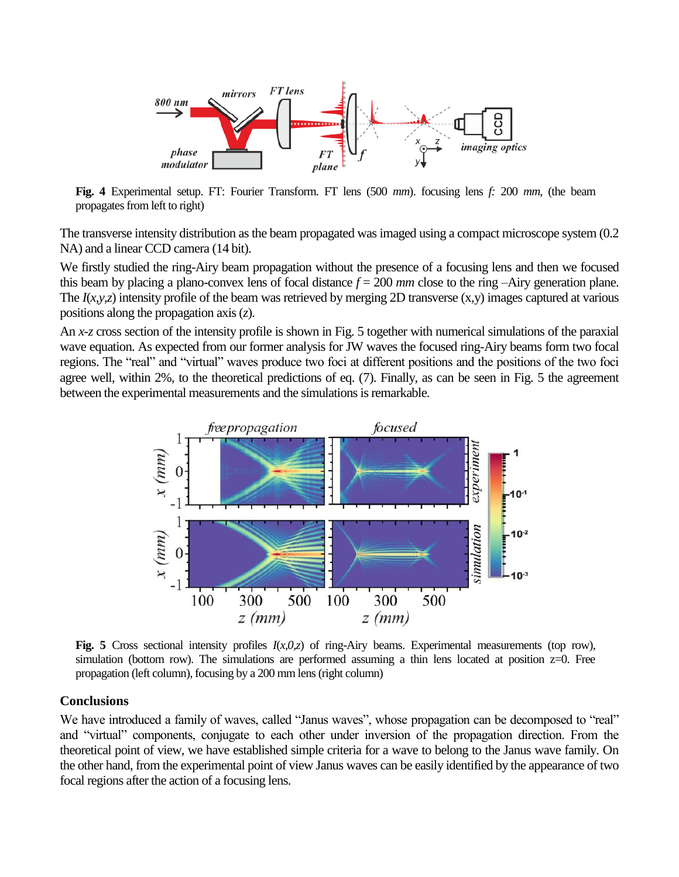

**Fig. 4** Experimental setup. FT: Fourier Transform. FT lens (500 *mm*). focusing lens *f:* 200 *mm*, (the beam propagates from left to right)

The transverse intensity distribution as the beam propagated was imaged using a compact microscope system (0.2 NA) and a linear CCD camera (14 bit).

We firstly studied the ring-Airy beam propagation without the presence of a focusing lens and then we focused this beam by placing a plano-convex lens of focal distance  $f = 200$  *mm* close to the ring –Airy generation plane. The  $I(x, y, z)$  intensity profile of the beam was retrieved by merging 2D transverse  $(x, y)$  images captured at various positions along the propagation axis (*z*).

An *x-z* cross section of the intensity profile is shown in Fig. 5 together with numerical simulations of the paraxial wave equation. As expected from our former analysis for JW waves the focused ring-Airy beams form two focal regions. The "real" and "virtual" waves produce two foci at different positions and the positions of the two foci agree well, within 2%, to the theoretical predictions of eq. [\(7\)](#page-3-0). Finally, as can be seen in Fig. 5 the agreement between the experimental measurements and the simulations is remarkable.



**Fig. 5** Cross sectional intensity profiles  $I(x,0,z)$  of ring-Airy beams. Experimental measurements (top row), simulation (bottom row). The simulations are performed assuming a thin lens located at position  $z=0$ . Free propagation (left column), focusing by a 200 mm lens (right column)

## **Conclusions**

We have introduced a family of waves, called "Janus waves", whose propagation can be decomposed to "real" and "virtual" components, conjugate to each other under inversion of the propagation direction. From the theoretical point of view, we have established simple criteria for a wave to belong to the Janus wave family. On the other hand, from the experimental point of view Janus waves can be easily identified by the appearance of two focal regions after the action of a focusing lens.